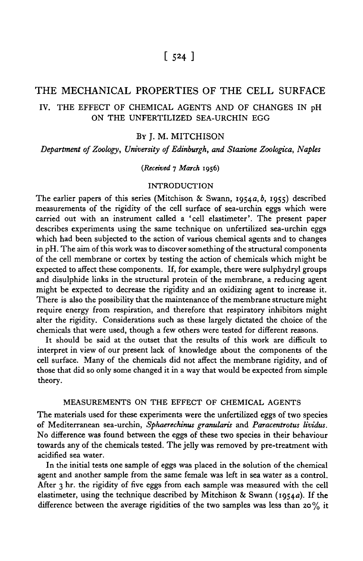# [524 ]

## THE MECHANICAL PROPERTIES OF THE CELL SURFACE

# IV. THE EFFECT OF CHEMICAL AGENTS AND OF CHANGES IN pH ON THE UNFERTILIZED SEA-URCHIN EGG

## BY J. M. MITCHISON

*Department of Zoology, University of Edinburgh, and Stazione Zoologica, Naples*

#### *(Received* 7 *March* 1956)

#### INTRODUCTION

The earlier papers of this series (Mitchison & Swann, 1954a, b, 1955) described measurements of the rigidity of the cell surface of sea-urchin eggs which were carried out with an instrument called a 'cell elastimeter'. The present paper describes experiments using the same technique on unfertilized sea-urchin eggs which had been subjected to the action of various chemical agents and to changes in pH. The aim of this work was to discover something of the structural components of the cell membrane or cortex by testing the action of chemicals which might be expected to affect these components. If, for example, there were sulphydryl groups and disulphide links in the structural protein of the membrane, a reducing agent might be expected to decrease the rigidity and an oxidizing agent to increase it. There is also the possibility that the maintenance of the membrane structure might require energy from respiration, and therefore that respiratory inhibitors might alter the rigidity. Considerations such as these largely dictated the choice of the chemicals that were used, though a few others were tested for different reasons.

It should be said at the outset that the results of this work are difficult to interpret in view of our present lack of knowledge about the components of the cell surface. Many of the chemicals did not affect the membrane rigidity, and of those that did so only some changed it in a way that would be expected from simple theory.

### MEASUREMENTS ON THE EFFECT OF CHEMICAL AGENTS

The materials used for these experiments were the unfertilized eggs of two species of Mediterranean sea-urchin, *Sphaerechinus gramdaris* and *Paracentrotus lividus.* No difference was found between the eggs of these two species in their behaviour towards any of the chemicals tested. The jelly was removed by pre-treatment with acidified sea water.

In the initial tests one sample of eggs was placed in the solution of the chemical agent and another sample from the same female was left in sea water as a control. After 3 hr. the rigidity of five eggs from each sample was measured with the cell elastimeter, using the technique described by Mitchison & Swann (1954a). If the difference between the average rigidities of the two samples was less than 20 % it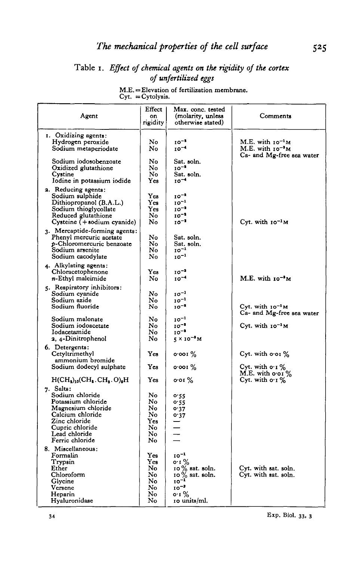# Table i. *Effect of chemical agents on the rigidity of the cortex of unfertilized eggs*

|  |                     | $M.E. = E$ evation of fertilization membrane. |  |
|--|---------------------|-----------------------------------------------|--|
|  | $Cyt. = Cytolysis.$ |                                               |  |

| Agent                                                    | Effect<br>on<br>rigidity | Max. conc. tested<br>(molarity, unless<br>otherwise stated) | Comments                                     |  |  |
|----------------------------------------------------------|--------------------------|-------------------------------------------------------------|----------------------------------------------|--|--|
| 1. Oxidizing agents:                                     |                          |                                                             |                                              |  |  |
| Hydrogen peroxide                                        | No.                      | $10^{-1}$                                                   | M.E. with $10^{-1}$ M                        |  |  |
| Sodium metaperiodate                                     | No                       | $10^{-4}$                                                   | $M.E.$ with $10^{-3}M$                       |  |  |
|                                                          |                          |                                                             | Ca- and Mg-free sea water                    |  |  |
| Sodium iodosobenzoate                                    | No                       | Sat. soln.                                                  |                                              |  |  |
| Oxidized glutathione                                     | No                       | $10^{-1}$                                                   |                                              |  |  |
| Cystine                                                  | No                       | Sat. soln.                                                  |                                              |  |  |
| Iodine in potassium iodide                               | Yes                      | $10^{-4}$                                                   |                                              |  |  |
| 2. Reducing agents:                                      |                          |                                                             |                                              |  |  |
| Sodium sulphide                                          | Yes                      | $10^{-1}$                                                   |                                              |  |  |
| Dithiopropanol (B.A.L.)                                  | Yes                      | $10^{-1}$                                                   |                                              |  |  |
| Sodium thioglycollate                                    | Yes                      | $10^{-1}$                                                   |                                              |  |  |
| Reduced glutathione                                      | No                       | $10^{-1}$                                                   |                                              |  |  |
| Cysteine (+ sodium cyanide)                              | No                       | $10^{-1}$                                                   | Cyt. with $10^{-1}$ M                        |  |  |
| 3. Mercaptide-forming agents:                            |                          |                                                             |                                              |  |  |
| Phenyl mercuric acetate                                  | No                       | Sat. soln.                                                  |                                              |  |  |
| p-Chloromercuric benzoate                                | No                       | Sat. soln.                                                  |                                              |  |  |
| Sodium arsenite                                          | No                       | $10^{-1}$                                                   |                                              |  |  |
| Sodium cacodylate                                        | No                       | $10^{-1}$                                                   |                                              |  |  |
| 4. Alkylating agents:                                    |                          |                                                             |                                              |  |  |
| Chloracetophenone                                        | Yes                      | $10^{-1}$                                                   |                                              |  |  |
| n-Ethyl maleimide                                        | No                       | $10^{-4}$                                                   | M.E. with 10 <sup>-3</sup> M                 |  |  |
| 5. Respiratory inhibitors:                               |                          |                                                             |                                              |  |  |
| Sodium cvanide                                           | No                       | $10^{-1}$                                                   |                                              |  |  |
| Sodium azide                                             | No                       | $10^{-1}$                                                   |                                              |  |  |
| Sodium fluoride                                          | No                       | $10^{-1}$                                                   | Cyt. with $10^{-1}$ M                        |  |  |
|                                                          |                          |                                                             | Ca- and Mg-free sea water                    |  |  |
| Sodium malonate                                          | No                       | $10^{-1}$                                                   |                                              |  |  |
| Sodium iodoacetate                                       | No                       | $10^{-2}$                                                   | Cyt. with $10^{-1}$ M                        |  |  |
| Iodacetamide                                             | No                       | $10^{-3}$                                                   |                                              |  |  |
| 2, 4-Dinitrophenol                                       | No                       | $5 \times 10^{-3}$ M                                        |                                              |  |  |
| 6. Detergents:                                           |                          |                                                             |                                              |  |  |
| Cetyltrimethyl                                           | Yes                      | $\circ$ oo r $\%$                                           | Cyt. with $\circ$ or $\%$                    |  |  |
| ammonium bromide                                         |                          |                                                             |                                              |  |  |
| Sodium dodecyl sulphate                                  | Yes                      | $o$ ·00 I $\%$                                              | Cyt. with $\mathbf{o} \cdot \mathbf{I}$ %    |  |  |
|                                                          |                          |                                                             | M.E. with $\frac{1}{9}$ o'o'll $\frac{1}{9}$ |  |  |
| $H(CH_2)_{10}CH_3$ . CH <sub>3</sub> . O) <sub>2</sub> H | Yes                      | $\mathbf{o}$ or $\%$                                        |                                              |  |  |
| 7. Salts:                                                |                          |                                                             |                                              |  |  |
| Sodium chloride                                          | No                       | 0.55                                                        |                                              |  |  |
| Potassium chloride                                       | No                       | 0.55                                                        |                                              |  |  |
| Magnesium chloride                                       | No                       | 0.37                                                        |                                              |  |  |
| Calcium chloride                                         | No                       | o·37                                                        |                                              |  |  |
| Zinc chloride                                            | Yes                      |                                                             |                                              |  |  |
| Cupric chloride                                          | No                       |                                                             |                                              |  |  |
| Lead chloride                                            | No                       |                                                             |                                              |  |  |
| Ferric chloride                                          | No                       |                                                             |                                              |  |  |
| 8. Miscellaneous:                                        |                          |                                                             |                                              |  |  |
| Formalin                                                 | Yes                      | $10^{-1}$                                                   |                                              |  |  |
| Trypsin                                                  | Yes                      | $0.1\%$                                                     |                                              |  |  |
| Ether                                                    | No                       | $10\%$ sat. soln.<br>$10\%$ sat. soln.                      | Cyt. with sat. soln.                         |  |  |
| Chloroform                                               | No<br>No                 | $10^{-1}$                                                   | Cyt. with sat. soln.                         |  |  |
| Glycine<br>Versene                                       | No                       | $10^{-3}$                                                   |                                              |  |  |
| Heparin                                                  | No                       | o∙1 %                                                       |                                              |  |  |
| Hyaluronidase                                            | No                       | 10 units/ml.                                                |                                              |  |  |
|                                                          |                          |                                                             |                                              |  |  |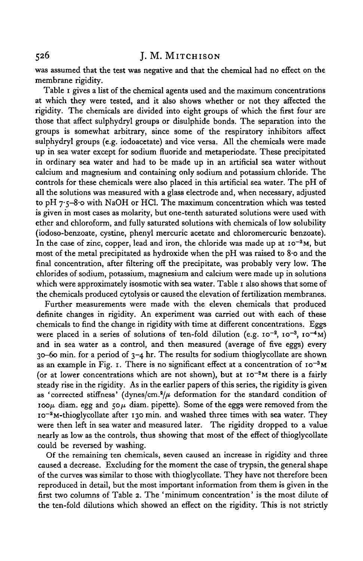### 526 J. M. MlTCHISON

was assumed that the test was negative and that the chemical had no effect on the membrane rigidity.

Table 1 gives a list of the chemical agents used and the maximum concentrations at which they were tested, and it also shows whether or not they affected the rigidity. The chemicals are divided into eight groups of which the first four are those that affect sulphydryl groups or disulphide bonds. The separation into the groups is somewhat arbitrary, since some of the respiratory inhibitors affect sulphydryl groups (e.g. iodoacetate) and vice versa. All the chemicals were made up in sea water except for sodium fluoride and metaperiodate. These precipitated in ordinary sea water and had to be made up in an artificial sea water without calcium and magnesium and containing only sodium and potassium chloride. The controls for these chemicals were also placed in this artificial sea water. The pH of all the solutions was measured with a glass electrode and, when necessary, adjusted to pH 7-5-8-0 with NaOH or HC1. The maximum concentration which was tested is given in most cases as molarity, but one-tenth saturated solutions were used with ether and chloroform, and fully saturated solutions with chemicals of low solubility (iodoso-benzoate, cystine, phenyl mercuric acetate and chloromercuric benzoate). In the case of zinc, copper, lead and iron, the chloride was made up at  $10^{-2}$ M, but most of the metal precipitated as hydroxide when the pH was raised to 8-o and the final concentration, after filtering off the precipitate, was probably very low. The chlorides of sodium, potassium, magnesium and calcium were made up in solutions which were approximately isosmotic with sea water. Table 1 also shows that some of the chemicals produced cytolysis or caused the elevation of fertilization membranes.

Further measurements were made with the eleven chemicals that produced definite changes in rigidity. An experiment was carried out with each of these chemicals to find the change in rigidity with time at different concentrations. Eggs were placed in a series of solutions of ten-fold dilution (e.g.  $10^{-2}$ ,  $10^{-3}$ ,  $10^{-4}$ M) and in sea water as a control, and then measured (average of five eggs) every  $30-60$  min. for a period of  $3-4$  hr. The results for sodium thioglycollate are shown as an example in Fig. 1. There is no significant effect at a concentration of  $10^{-3}$ M (or at lower concentrations which are not shown), but at  $10^{-2}$ M there is a fairly steady rise in the rigidity. As in the earlier papers of this series, the rigidity is given as 'corrected stiffness' (dynes/cm. $^{2}/\mu$  deformation for the standard condition of  $ioop<sub>\mu</sub>$  diam. egg and  $50\mu$  diam. pipette). Some of the eggs were removed from the 10<sup>-2</sup>M-thioglycollate after 130 min. and washed three times with sea water. They were then left in sea water and measured later. The rigidity dropped to a value nearly as low as the controls, thus showing that most of the effect of thioglycollate could be reversed by washing.

Of the remaining ten chemicals, seven caused an increase in rigidity and three caused a decrease. Excluding for the moment the case of trypsin, the general shape of the curves was similar to those with thioglycollate. They have not therefore been reproduced in detail, but the most important information from them is given in the first two columns of Table 2. The 'minimum concentration' is the most dilute of the ten-fold dilutions which showed an effect on the rigidity. This is not strictly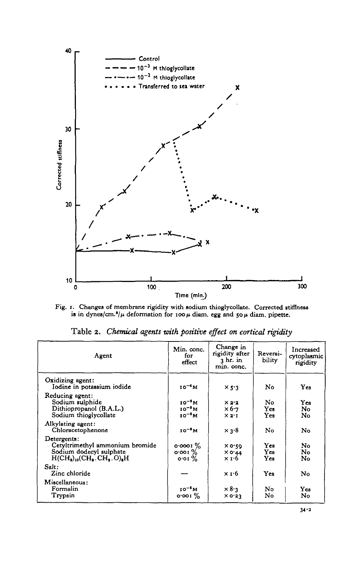

**Fig. 1.** Changes of membrane rigidity with sodium thioglycollate. Corrected stiffness is in dynes/cm.<sup>3</sup>/μ deformation for 100μ diam. egg and 50μ diam. pipette.

| Agent                                                                                                                                                 | Min. conc.<br>for<br>effect                                                    | Change in<br>rigidity after<br>3 hr. in<br>min. conc. | Reversi-<br>bility | Increased<br>cytoplasmic<br>rigidity |
|-------------------------------------------------------------------------------------------------------------------------------------------------------|--------------------------------------------------------------------------------|-------------------------------------------------------|--------------------|--------------------------------------|
| Oxidizing agent:<br>Iodine in potassium iodide                                                                                                        | $10^{-4}$ M                                                                    | $\times$ 5.3                                          | No.                | Yes                                  |
| Reducing agent:<br>Sodium sulphide<br>Dithiopropanol (B.A.L.)<br>Sodium thioglycollate                                                                | $10^{-1}$ M<br>$10^{-3}$ M<br>$10^{-2}$ M                                      | $\times 2.2$<br>$\times 6.7$<br>$\times 2.1$          | No.<br>Yes<br>Yes  | Yes<br>No<br>No                      |
| Alkylating agent:<br>Chloracetophenone                                                                                                                | $10^{-3}$ M                                                                    | $\times$ 3.8                                          | No                 | No                                   |
| Detergents:<br>Cetyltrimethyl ammonium bromide<br>Sodium dodecyl sulphate<br>$H(CH_{\bullet})_{10}CH_{\bullet}$ . CH $_{\bullet}$ . O) $_{\bullet}$ H | $\circ$ $\circ$ $\circ$ $\cdot$ $\cdot$ $\cdot$<br>$\circ$ or $\%$<br>$0.01\%$ | XO'SQ<br>$\times$ 0.44<br>x 1.6                       | Yea<br>Yes<br>Yes  | No<br>No<br>No                       |
| Salt:<br>Zinc chloride                                                                                                                                |                                                                                | $\times$ 1.6                                          | Yes                | No                                   |
| Miscellaneous:<br>Formalin<br>$T_{\rm TYPS}$                                                                                                          | $10^{-2}$ M<br>$0.001\%$                                                       | $\times$ 8.3<br>$\times$ 0.23                         | No<br>No           | Yes<br>No                            |

Table 2. *Chemical agents with positive effect on cortical rigidity*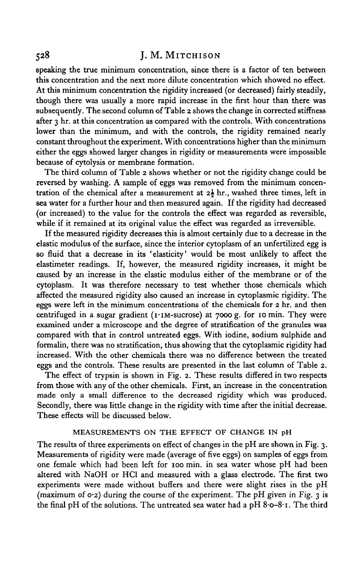## 528 J. M. MlTCHISON

speaking the true minimum concentration, since there is a factor of ten between this concentration and the next more dilute concentration which showed no effect. At this minimum concentration the rigidity increased (or decreased) fairly steadily, though there was usually a more rapid increase in the first hour than there was subsequently. The second column of Table 2 shows the change in corrected stiffness after 3 hr. at this concentration as compared with the controls. With concentrations lower than the minimum, and with the controls, the rigidity remained nearly constant throughout the experiment. With concentrations higher than the minimum either the eggs showed larger changes in rigidity or measurements were impossible because of cytolysis or membrane formation.

The third column of Table 2 shows whether or not the rigidity change could be reversed by washing. A sample of eggs was removed from the minimum concentration of the chemical after a measurement at *z\* hr., washed three times, left in sea water for a further hour and then measured again. If the rigidity had decreased (or increased) to the value for the controls the effect was regarded as reversible, while if it remained at its original value the effect was regarded as irreversible.

If the measured rigidity decreases this is almost certainly due to a decrease in the elastic modulus of the surface, since the interior cytoplasm of an unfertilized egg is so fluid that a decrease in its 'elasticity' would be most unlikely to affect the elastimeter readings. If, however, the measured rigidity increases, it might be caused by an increase in the elastic modulus either of the membrane or of the cytoplasm. It was therefore necessary to test whether those chemicals which affected the measured rigidity also caused an increase in cytoplasmic rigidity. The eggs were left in the minimum concentrations of the chemicals for 2 hr. and then centrifuged in a sugar gradient ( $i$ · $i$ M-sucrose) at 7000 g. for 10 min. They were examined under a microscope and the degree of stratification of the granules was compared with that in control untreated eggs. With iodine, sodium sulphide and formalin, there was no stratification, thus showing that the cytoplasmic rigidity had increased. With the other chemicals there was no difference between the treated eggs and the controls. These results are presented in the last column of Table 2.

The effect of trypsin is shown in Fig. 2. These results differed in two respects from those with any of the other chemicals. First, an increase in the concentration made only a small difference to the decreased rigidity which was produced. Secondly, there was little change in the rigidity with time after the initial decrease. These effects will be discussed below.

## MEASUREMENTS ON THE EFFECT OF CHANGE IN pH

The results of three experiments on effect of changes in the pH are shown in Fig. 3. Measurements of rigidity were made (average of five eggs) on samples of eggs from one female which had been left for 100 min. in sea water whose pH had been altered with NaOH or HC1 and measured with a glass electrode. The first two experiments were made without buffers and there were slight rises in the pH (maximum of 0-2) during the course of the experiment. The pH given in Fig. 3 is the final pH of the solutions. The untreated sea water had a pH 8.0-8.1. The third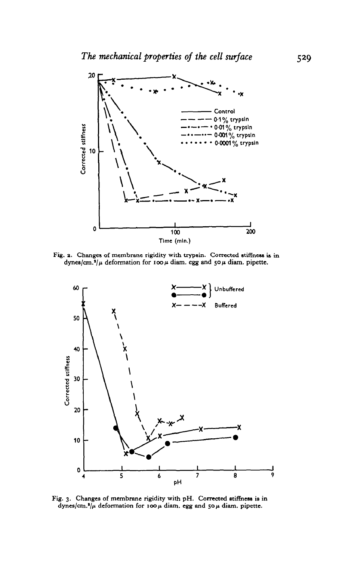

Fig. 2. Changes of membrane rigidity with trypsin. Corrected stiffness is in dynes/cm.<sup>2</sup>/ $\mu$  deformation for 100  $\mu$  diam. egg and 50  $\mu$  diam. pipette.



**Fig. 3. Changes of membrane rigidity with pH. Corrected stiffness is in dynes/cm.1 /^ deformation for 100/t diam. egg and 50 ft diam. pipette.**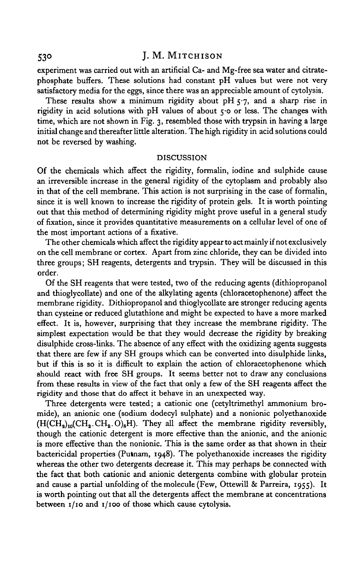## 530 J. M. MITCHISON

experiment was carried out with an artificial Ca- and Mg-free sea water and citratephosphate buffers. These solutions had constant pH values but were not very satisfactory media for the eggs, since there was an appreciable amount of cytolysis.

These results show a minimum rigidity about pH  $5.7$ , and a sharp rise in rigidity in acid solutions with pH values of about  $\varsigma$ -o or less. The changes with time, which are not shown in Fig. 3, resembled those with trypsin in having a large initial change and thereafter little alteration. The high rigidity in acid solutions could not be reversed by washing.

#### **DISCUSSION**

Of the chemicals which affect the rigidity, formalin, iodine and sulphide cause an irreversible increase in the general rigidity of the cytoplasm and probably also in that of the cell membrane. This action is not surprising in the case of formalin, since it is well known to increase the rigidity of protein gels. It is worth pointing out that this method of determining rigidity might prove useful in a general study of fixation, since it provides quantitative measurements on a cellular level of one of the most important actions of a fixative.

The other chemicals which affect the rigidity appear to act mainly if not exclusively on the cell membrane or cortex. Apart from zinc chloride, they can be divided into three groups; SH reagents, detergents and trypsin. They will be discussed in this order.

Of the SH reagents that were tested, two of the reducing agents (dithiopropanol and thioglycollate) and one of the alkylating agents (chloracetophenone) affect the membrane rigidity. Dithiopropanol and thioglycollate are stronger reducing agents than cysteine or reduced glutathione and might be expected to have a more marked effect. It is, however, surprising that they increase the membrane rigidity. The simplest expectation would be that they would decrease the rigidity by breaking disulphide cross-links. The absence of any effect with the oxidizing agents suggests that there are few if any SH groups which can be converted into disulphide links, but if this is so it is difficult to explain the action of chloracetophenone which should react with free SH groups. It seems better not to draw any conclusions from these results in view of the fact that only a few of the SH reagents affect the rigidity and those that do affect it behave in an unexpected way.

Three detergents were tested; a cationic one (cetyltrimethyl ammonium bromide), an anionic one (sodium dodecyl sulphate) and a nonionic polyethanoxide  $(H(CH<sub>2</sub>)<sub>10</sub>(CH<sub>2</sub>.CH<sub>2</sub>.O)<sub>8</sub>H)$ . They all affect the membrane rigidity reversibly, though the cationic detergent is more effective than the anionic, and the anionic is more effective than the nonionic. This is the same order as that shown in their bactericidal properties (Putnam, 1948). The polyethanoxide increases the rigidity whereas the other two detergents decrease it. This may perhaps be connected with the fact that both cationic and anionic detergents combine with globular protein and cause a partial unfolding of the molecule (Few, Ottewill & Parreira, 1955). It is worth pointing out that all the detergents affect the membrane at concentrations between  $I/IO$  and  $I/IO$  of those which cause cytolysis.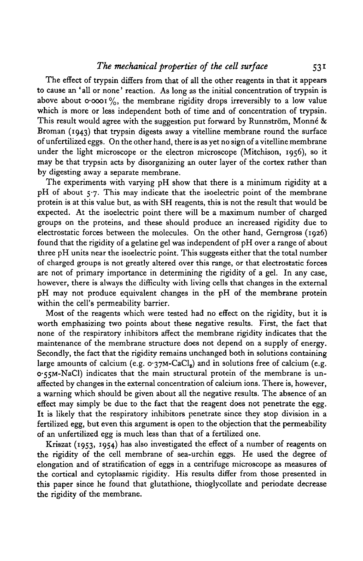### *The mechanical properties of the cell surface* 531

The effect of trypsin differs from that of all the other reagents in that it appears to cause an 'all or none' reaction. As long as the initial concentration of trypsin is above about  $\circ \circ \circ \circ \cdot \%$ which is more or less independent both of time and of concentration of trypsin. This result would agree with the suggestion put forward by Runnström, Monné  $\&$ Broman (1943) that trypsin digests away a vitelline membrane round the surface of unfertilized eggs. On the other hand, there is as yet no sign of a vitelline membrane under the light microscope or the electron microscope (Mitchison, 1956), so it may be that trypsin acts by disorganizing an outer layer of the cortex rather than by digesting away a separate membrane.

The experiments with varying pH show that there is a minimum rigidity at a pH of about  $5.7$ . This may indicate that the isoelectric point of the membrane protein is at this value but, as with SH reagents, this is not the result that would be expected. At the isoelectric point there will be a maximum number of charged groups on the proteins, and these should produce an increased rigidity due to electrostatic forces between the molecules. On the other hand, Gerngross (1926) found that the rigidity of a gelatine gel was independent of pH over a range of about three pH units near the isoelectric point. This suggests either that the total number of charged groups is not greatly altered over this range, or that electrostatic forces are not of primary importance in determining the rigidity of a gel. In any case, however, there is always the difficulty with living cells that changes in the external pH may not produce equivalent changes in the pH of the membrane protein within the cell's permeability barrier.

Most of the reagents which were tested had no effect on the rigidity, but it is worth emphasizing two points about these negative results. First, the fact that none of the respiratory inhibitors affect the membrane rigidity indicates that the maintenance of the membrane structure does not depend on a supply of energy. Secondly, the fact that the rigidity remains unchanged both in solutions containing large amounts of calcium (e.g.  $o:37M-CaCl<sub>9</sub>$ ) and in solutions free of calcium (e.g. O'55M-NaCl) indicates that the main structural protein of the membrane is unaffected by changes in the external concentration of calcium ions. There is, however, a warning which should be given about all the negative results. The absence of an effect may simply be due to the fact that the reagent does not penetrate the egg. It is likely that the respiratory inhibitors penetrate since they stop division in a fertilized egg, but even this argument is open to the objection that the permeability of an unfertilized egg is much less than that of a fertilized one.

Kriszat (1953, 1954) has also investigated the effect of a number of reagents on the rigidity of the cell membrane of sea-urchin eggs. He used the degree of elongation and of stratification of eggs in a centrifuge microscope as measures of the cortical and cytoplasmic rigidity. His results differ from those presented in this paper since he found that glutathione, thioglycollate and periodate decrease the rigidity of the membrane.